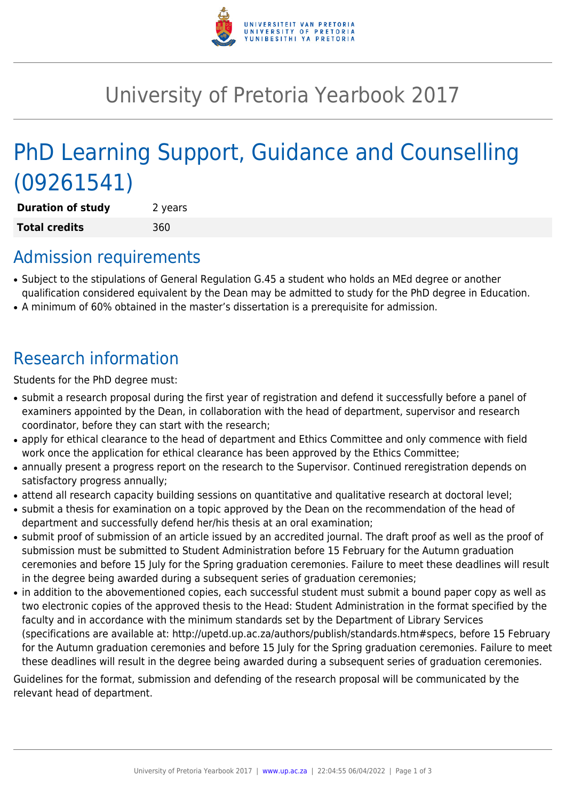

## University of Pretoria Yearbook 2017

# PhD Learning Support, Guidance and Counselling (09261541)

**Duration of study** 2 years **Total credits** 360

### Admission requirements

- Subject to the stipulations of General Regulation G.45 a student who holds an MEd degree or another qualification considered equivalent by the Dean may be admitted to study for the PhD degree in Education.
- A minimum of 60% obtained in the master's dissertation is a prerequisite for admission.

## Research information

Students for the PhD degree must:

- submit a research proposal during the first year of registration and defend it successfully before a panel of examiners appointed by the Dean, in collaboration with the head of department, supervisor and research coordinator, before they can start with the research;
- apply for ethical clearance to the head of department and Ethics Committee and only commence with field work once the application for ethical clearance has been approved by the Ethics Committee;
- annually present a progress report on the research to the Supervisor. Continued reregistration depends on satisfactory progress annually;
- attend all research capacity building sessions on quantitative and qualitative research at doctoral level;
- submit a thesis for examination on a topic approved by the Dean on the recommendation of the head of department and successfully defend her/his thesis at an oral examination;
- submit proof of submission of an article issued by an accredited journal. The draft proof as well as the proof of submission must be submitted to Student Administration before 15 February for the Autumn graduation ceremonies and before 15 July for the Spring graduation ceremonies. Failure to meet these deadlines will result in the degree being awarded during a subsequent series of graduation ceremonies;
- in addition to the abovementioned copies, each successful student must submit a bound paper copy as well as two electronic copies of the approved thesis to the Head: Student Administration in the format specified by the faculty and in accordance with the minimum standards set by the Department of Library Services (specifications are available at: http://upetd.up.ac.za/authors/publish/standards.htm#specs, before 15 February for the Autumn graduation ceremonies and before 15 July for the Spring graduation ceremonies. Failure to meet these deadlines will result in the degree being awarded during a subsequent series of graduation ceremonies.

Guidelines for the format, submission and defending of the research proposal will be communicated by the relevant head of department.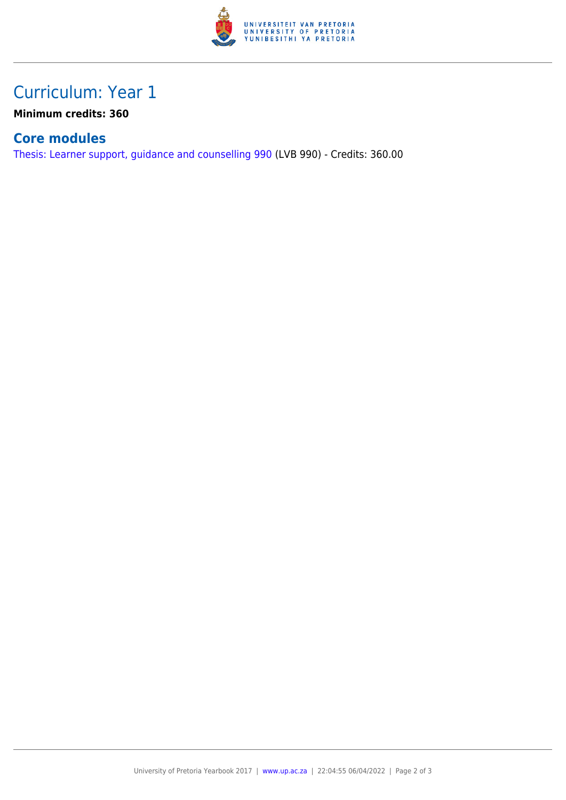

### Curriculum: Year 1

**Minimum credits: 360**

#### **Core modules**

[Thesis: Learner support, guidance and counselling 990](https://www.up.ac.za/parents/yearbooks/2017/modules/view/LVB 990) (LVB 990) - Credits: 360.00